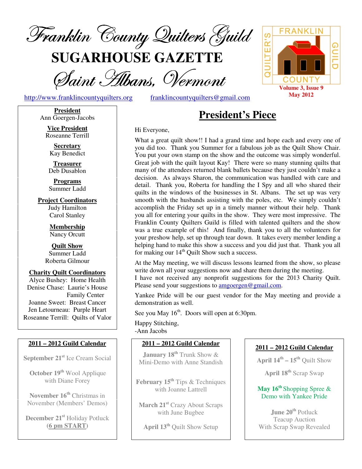

**SUGARHOUSE GAZETTE**

Saint Hibans, Vermont

http://www.franklincountyquilters.org franklincountyquilters@gmail.com

#### **President**  Ann Goergen-Jacobs

**Vice President**  Roseanne Terrill

**Secretary**  Kay Benedict

**Treasurer**  Deb Dusablon

**Programs**  Summer Ladd

**Project Coordinators**  Judy Hamilton Carol Stanley

> **Membership**  Nancy Orcutt

**Quilt Show**  Summer Ladd Roberta Gilmour

#### **Charity Quilt Coordinators**  Alyce Bushey: Home Health

Denise Chase: Laurie's House Family Center Joanne Sweet: Breast Cancer Jen Letourneau: Purple Heart Roseanne Terrill: Quilts of Valor

#### **2011 – 2012 Guild Calendar**

**September 21st** Ice Cream Social

**October 19th** Wool Applique with Diane Forey

**November 16th** Christmas in November (Members' Demos)

**December 21st** Holiday Potluck **(6 pm START)** 

# **President's Piece**

#### Hi Everyone,

What a great quilt show!! I had a grand time and hope each and every one of you did too. Thank you Summer for a fabulous job as the Quilt Show Chair. You put your own stamp on the show and the outcome was simply wonderful. Great job with the quilt layout Kay! There were so many stunning quilts that many of the attendees returned blank ballets because they just couldn't make a decision. As always Sharon, the communication was handled with care and detail. Thank you, Roberta for handling the I Spy and all who shared their quilts in the windows of the businesses in St. Albans. The set up was very smooth with the husbands assisting with the poles, etc. We simply couldn't accomplish the Friday set up in a timely manner without their help. Thank you all for entering your quilts in the show. They were most impressive. The Franklin County Quilters Guild is filled with talented quilters and the show was a true example of this! And finally, thank you to all the volunteers for your preshow help, set up through tear down. It takes every member lending a helping hand to make this show a success and you did just that. Thank you all for making our  $14<sup>th</sup>$  Quilt Show such a success.

At the May meeting, we will discuss lessons learned from the show, so please write down all your suggestions now and share them during the meeting. I have not received any nonprofit suggestions for the 2013 Charity Quilt. Please send your suggestions to amgoergen@gmail.com.

Yankee Pride will be our guest vendor for the May meeting and provide a demonstration as well.

See you May  $16<sup>th</sup>$ . Doors will open at 6:30pm.

Happy Stitching, -Ann Jacobs

#### **2011 – 2012 Guild Calendar**

**January 18th** Trunk Show & Mini-Demo with Anne Standish

**February 15th** Tips & Techniques with Joanne Lattrell

**March 21st** Crazy About Scraps with June Bugbee

**April 13th** Quilt Show Setup

#### **2011 – 2012 Guild Calendar**

**April**  $14^{th}$  –  $15^{th}$  Quilt Show

**April 18th** Scrap Swap

#### **May 16th** Shopping Spree & Demo with Yankee Pride

**June 20th** Potluck Teacup Auction With Scrap Swap Revealed

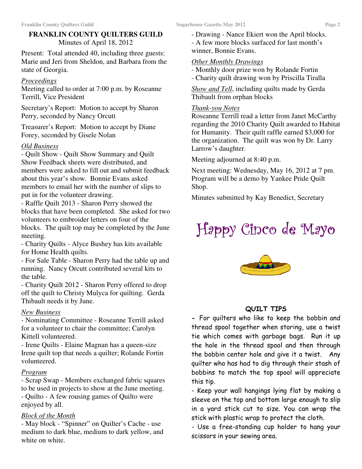# **FRANKLIN COUNTY QUILTERS GUILD**  Minutes of April 18, 2012

Present: Total attended 40, including three guests: Marie and Jeri from Sheldon, and Barbara from the state of Georgia.

# *Proceedings*

Meeting called to order at 7:00 p.m. by Roseanne Terrill, Vice President

Secretary's Report: Motion to accept by Sharon Perry, seconded by Nancy Orcutt

Treasurer's Report: Motion to accept by Diane Forey, seconded by Gisele Nolan

# *Old Business*

- Quilt Show - Quilt Show Summary and Quilt Show Feedback sheets were distributed, and members were asked to fill out and submit feedback about this year's show. Bonnie Evans asked members to email her with the number of slips to put in for the volunteer drawing.

- Raffle Quilt 2013 - Sharon Perry showed the blocks that have been completed. She asked for two volunteers to embroider letters on four of the blocks. The quilt top may be completed by the June meeting.

- Charity Quilts - Alyce Bushey has kits available for Home Health quilts.

- For Sale Table - Sharon Perry had the table up and running. Nancy Orcutt contributed several kits to the table.

- Charity Quilt 2012 - Sharon Perry offered to drop off the quilt to Christy Mulyca for quilting. Gerda Thibault needs it by June.

# *New Business*

- Nominating Committee - Roseanne Terrill asked for a volunteer to chair the committee; Carolyn Kittell volunteered.

- Irene Quilts - Elaine Magnan has a queen-size Irene quilt top that needs a quilter; Rolande Fortin volunteered.

# *Program*

- Scrap Swap - Members exchanged fabric squares to be used in projects to show at the June meeting. - Quilto - A few rousing games of Quilto were enjoyed by all.

# *Block of the Month*

- May block - "Spinner" on Quilter's Cache - use medium to dark blue, medium to dark yellow, and white on white.

- Drawing - Nance Ekiert won the April blocks.

- A few more blocks surfaced for last month's winner, Bonnie Evans.

# *Other Monthly Drawings*

- Monthly door prize won by Rolande Fortin
- Charity quilt drawing won by Priscilla Tiralla

*Show and Tell*, including quilts made by Gerda Thibault from orphan blocks

# *Thank-you Notes*

Roseanne Terrill read a letter from Janet McCarthy regarding the 2010 Charity Quilt awarded to Habitat for Humanity. Their quilt raffle earned \$3,000 for the organization. The quilt was won by Dr. Larry Larrow's daughter.

Meeting adjourned at 8:40 p.m.

Next meeting: Wednesday, May 16, 2012 at 7 pm. Program will be a demo by Yankee Pride Quilt Shop.

Minutes submitted by Kay Benedict, Secretary

# Happy Cinco de Mayo Mayo

![](_page_1_Picture_33.jpeg)

# QUILT TIPS

- For quilters who like to keep the bobbin and thread spool together when storing, use a twist tie which comes with garbage bags. Run it up the hole in the thread spool and then through the bobbin center hole and give it a twist. Any quilter who has had to dig through their stash of bobbins to match the top spool will appreciate this tip.

- Keep your wall hangings lying flat by making a sleeve on the top and bottom large enough to slip in a yard stick cut to size. You can wrap the stick with plastic wrap to protect the cloth.

- Use a free-standing cup holder to hang your scissors in your sewing area.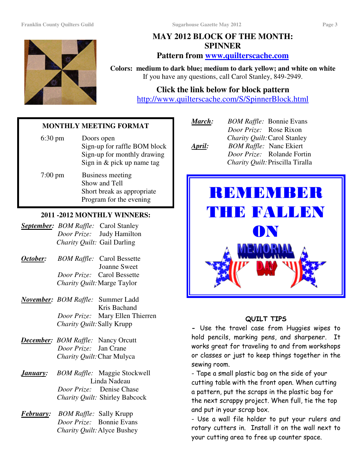![](_page_2_Picture_3.jpeg)

# **MAY 2012 BLOCK OF THE MONTH: SPINNER**

# **Pattern from www.quilterscache.com**

**Colors: medium to dark blue; medium to dark yellow; and white on white**  If you have any questions, call Carol Stanley, 849-2949.

# **Click the link below for block pattern**

http://www.quilterscache.com/S/SpinnerBlock.html

### **MONTHLY MEETING FORMAT**

| $6:30 \text{ pm}$ | Doors open<br>Sign-up for raffle BOM block<br>Sign-up for monthly drawing<br>Sign in & pick up name tag |
|-------------------|---------------------------------------------------------------------------------------------------------|
| $7:00 \text{ pm}$ | Business meeting<br>Show and Tell<br>Short break as appropriate<br>Program for the evening              |

# **2011 -2012 MONTHLY WINNERS:**

|                                    | <b>September:</b> BOM Raffle: Carol Stanley |
|------------------------------------|---------------------------------------------|
|                                    | <i>Door Prize:</i> Judy Hamilton            |
| <i>Charity Quilt:</i> Gail Darling |                                             |

- *October: BOM Raffle:* Carol Bessette Joanne Sweet  *Door Prize:* Carol Bessette  *Charity Quilt:* Marge Taylor
- *November: BOM Raffle:* Summer Ladd Kris Bachand  *Door Prize:* Mary Ellen Thierren  *Charity Quilt:* Sally Krupp
- *December: BOM Raffle:* Nancy Orcutt  *Door Prize:* Jan Crane  *Charity Quilt:* Char Mulyca
- *January: BOM Raffle:* Maggie Stockwell Linda Nadeau  *Door Prize:* Denise Chase *Charity Quilt:* Shirley Babcock
- *February: BOM Raffle:* Sally Krupp  *Door Prize:* Bonnie Evans *Charity Quilt:* Alyce Bushey

| March: | <b>BOM Raffle: Bonnie Evans</b>   |
|--------|-----------------------------------|
|        | Door Prize: Rose Rixon            |
|        | Charity Quilt: Carol Stanley      |
| April: | <b>BOM Raffle: Nanc Ekiert</b>    |
|        | <i>Door Prize:</i> Rolande Fortin |

*Fortin Charity Quilt:* Priscilla Tiralla

![](_page_2_Picture_20.jpeg)

# QUILT TIPS

- Use the travel case from Huggies wipes to hold pencils, marking pens, and sharpener. It works great for traveling to and from workshops or classes or just to keep things together in the sewing room.

- Tape a small plastic bag on the side of your cutting table with the front open. When cutting a pattern, put the scraps in the plastic bag for the next scrappy project. When full, tie the top and put in your scrap box.

- Use a wall file holder to put your rulers and rotary cutters in. Install it on the wall next to your cutting area to free up counter space.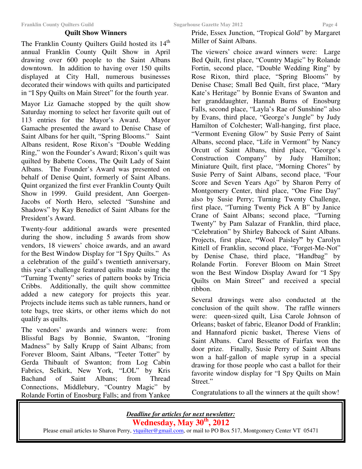#### **Quilt Show Winners**

The Franklin County Quilters Guild hosted its 14<sup>th</sup> annual Franklin County Quilt Show in April drawing over 600 people to the Saint Albans downtown. In addition to having over 150 quilts displayed at City Hall, numerous businesses decorated their windows with quilts and participated in "I Spy Quilts on Main Street" for the fourth year.

Mayor Liz Gamache stopped by the quilt show Saturday morning to select her favorite quilt out of 113 entries for the Mayor's Award. Mayor Gamache presented the award to Denise Chase of Saint Albans for her quilt, "Spring Blooms." Saint Albans resident, Rose Rixon's "Double Wedding Ring," won the Founder's Award; Rixon's quilt was quilted by Babette Coons, The Quilt Lady of Saint Albans. The Founder's Award was presented on behalf of Denise Quint, formerly of Saint Albans. Quint organized the first ever Franklin County Quilt Show in 1999. Guild president, Ann Goergen-Jacobs of North Hero, selected "Sunshine and Shadows" by Kay Benedict of Saint Albans for the President's Award.

Twenty-four additional awards were presented during the show, including 5 awards from show vendors, 18 viewers' choice awards, and an award for the Best Window Display for "I Spy Quilts." As a celebration of the guild's twentieth anniversary, this year's challenge featured quilts made using the "Turning Twenty" series of pattern books by Tricia Cribbs. Additionally, the quilt show committee added a new category for projects this year. Projects include items such as table runners, hand or tote bags, tree skirts, or other items which do not qualify as quilts.

The vendors' awards and winners were: from Blissful Bags by Bonnie, Swanton, "Ironing Madness" by Sally Krupp of Saint Albans; from Forever Bloom, Saint Albans, "Teeter Totter" by Gerda Thibault of Swanton; from Log Cabin Fabrics, Selkirk, New York, "LOL" by Kris Bachand of Saint Albans; from Thread Connections, Middlebury, "Country Magic" by Rolande Fortin of Enosburg Falls; and from Yankee

Pride, Essex Junction, "Tropical Gold" by Margaret Miller of Saint Albans.

The viewers' choice award winners were: Large Bed Quilt, first place, "Country Magic" by Rolande Fortin, second place, "Double Wedding Ring" by Rose Rixon, third place, "Spring Blooms" by Denise Chase; Small Bed Quilt, first place, "Mary Kate's Heritage" by Bonnie Evans of Swanton and her granddaughter, Hannah Burns of Enosburg Falls, second place, "Layla's Rae of Sunshine" also by Evans, third place, "George's Jungle" by Judy Hamilton of Colchester; Wall-hanging, first place, "Vermont Evening Glow" by Susie Perry of Saint Albans, second place, "Life in Vermont" by Nancy Orcutt of Saint Albans, third place, "George's Construction Company" by Judy Hamilton; Miniature Quilt, first place, "Morning Chores" by Susie Perry of Saint Albans, second place, "Four Score and Seven Years Ago" by Sharon Perry of Montgomery Center, third place, "One Fine Day" also by Susie Perry; Turning Twenty Challenge, first place, "Turning Twenty Pick A B" by Janice Crane of Saint Albans; second place, "Turning Twenty" by Pam Salazar of Franklin, third place, "Celebration" by Shirley Babcock of Saint Albans. Projects, first place, **"**Wool Paisley**"** by Carolyn Kittell of Franklin, second place, "Forget-Me-Not" by Denise Chase, third place, "Handbag" by Rolande Fortin. Forever Bloom on Main Street won the Best Window Display Award for "I Spy Quilts on Main Street" and received a special ribbon.

Several drawings were also conducted at the conclusion of the quilt show. The raffle winners were: queen-sized quilt, Lisa Carole Johnson of Orleans; basket of fabric, Eleanor Dodd of Franklin; and Hannaford picnic basket, Therese Viens of Saint Albans. Carol Bessette of Fairfax won the door prize. Finally, Susie Perry of Saint Albans won a half-gallon of maple syrup in a special drawing for those people who cast a ballot for their favorite window display for "I Spy Quilts on Main Street."

Congratulations to all the winners at the quilt show!

*Deadline for articles for next newsletter:*  **Wednesday, May 30th, 2012**  Please email articles to Sharon Perry, vtquilter@gmail.com, or mail to PO Box 517, Montgomery Center VT 05471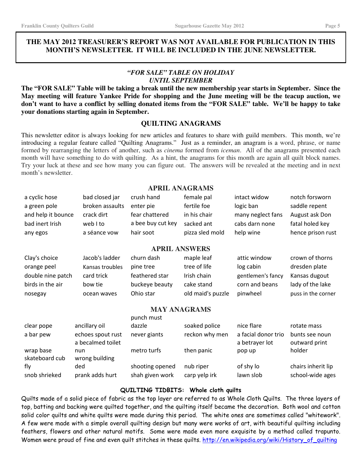fly

#### **THE MAY 2012 TREASURER'S REPORT WAS NOT AVAILABLE FOR PUBLICATION IN THIS MONTH'S NEWSLETTER. IT WILL BE INCLUDED IN THE JUNE NEWSLETTER.**

#### *"FOR SALE" TABLE ON HOLIDAY UNTIL SEPTEMBER*

**The "FOR SALE" Table will be taking a break until the new membership year starts in September. Since the May meeting will feature Yankee Pride for shopping and the June meeting will be the teacup auction, we don't want to have a conflict by selling donated items from the "FOR SALE" table. We'll be happy to take your donations starting again in September.** 

#### **QUILTING ANAGRAMS**

This newsletter editor is always looking for new articles and features to share with guild members. This month, we're introducing a regular feature called "Quilting Anagrams." Just as a reminder, an anagram is a word, phrase, or name formed by rearranging the letters of another, such as *cinema* formed from *iceman*. All of the anagrams presented each month will have something to do with quilting. As a hint, the anagrams for this month are again all quilt block names. Try your luck at these and see how many you can figure out. The answers will be revealed at the meeting and in next month's newsletter.

#### **APRIL ANAGRAMS**

| a cyclic hose               | bad closed jar                         | crush hand        | female pal        | intact widow                          | notch forsworn                  |  |  |  |
|-----------------------------|----------------------------------------|-------------------|-------------------|---------------------------------------|---------------------------------|--|--|--|
| a green pole                | broken assaults                        | enter pie         | fertile foe       | logic ban                             | saddle repent                   |  |  |  |
| and help it bounce          | crack dirt                             | fear chattered    | in his chair      | many neglect fans                     | August ask Don                  |  |  |  |
| bad inert Irish             | web I to                               | a bee buy cut key | sacked ant        | cabs darn none                        | fatal holed key                 |  |  |  |
| any egos                    | a séance vow                           | hair soot         | pizza sled mold   | help wine                             | hence prison rust               |  |  |  |
| <b>APRIL ANSWERS</b>        |                                        |                   |                   |                                       |                                 |  |  |  |
| Clay's choice               | Jacob's ladder                         | churn dash        | maple leaf        | attic window                          | crown of thorns                 |  |  |  |
| orange peel                 | Kansas troubles                        | pine tree         | tree of life      | log cabin                             | dresden plate                   |  |  |  |
| double nine patch           | card trick                             | feathered star    | Irish chain       | gentlemen's fancy                     | Kansas dugout                   |  |  |  |
| birds in the air            | bow tie                                | buckeye beauty    | cake stand        | corn and beans                        | lady of the lake                |  |  |  |
| nosegay                     | ocean waves                            | Ohio star         | old maid's puzzle | pinwheel                              | puss in the corner              |  |  |  |
| <b>MAY ANAGRAMS</b>         |                                        |                   |                   |                                       |                                 |  |  |  |
|                             |                                        | punch must        |                   |                                       |                                 |  |  |  |
| clear pope                  | ancillary oil                          | dazzle            | soaked police     | nice flare                            | rotate mass                     |  |  |  |
| a bar pew                   | echoes spout rust<br>a becalmed toilet | never giants      | reckon why men    | a facial donor trio<br>a betrayer lot | bunts see noun<br>outward print |  |  |  |
| wrap base<br>skateboard cub | nun<br>wrong building                  | metro turfs       | then panic        | pop up                                | holder                          |  |  |  |

ded shooting opened nub riper of shy lo chairs inherit lip of shy lo snob shrieked prank adds hurt shah given work carp yelp irk lawn slob school-wide ages

#### QUILTING TIDBITS: Whole cloth quilts

Quilts made of a solid piece of fabric as the top layer are referred to as Whole Cloth Quilts. The three layers of top, batting and backing were quilted together, and the quilting itself became the decoration. Both wool and cotton solid color quilts and white quilts were made during this period. The white ones are sometimes called "whitework". A few were made with a simple overall quilting design but many were works of art, with beautiful quilting including feathers, flowers and other natural motifs. Some were made even more exquisite by a method called trapunto. Women were proud of fine and even quilt stitches in these quilts. http://en.wikipedia.org/wiki/History\_of\_quilting